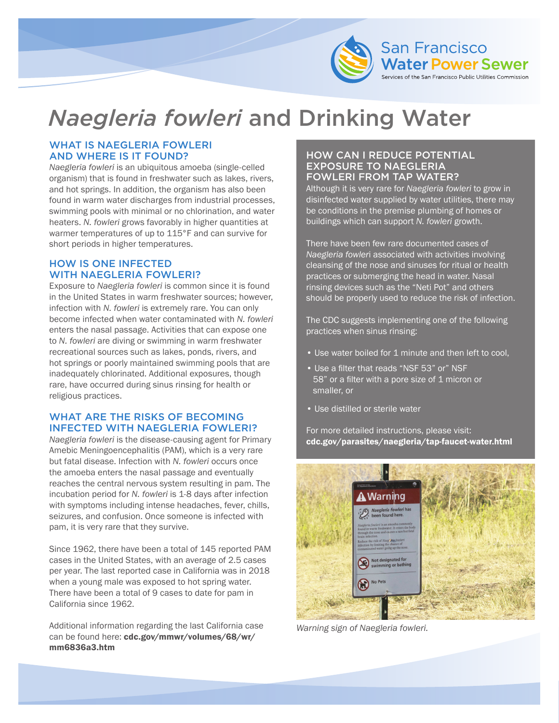

# *Naegleria fowleri* and Drinking Water

#### WHAT IS NAEGLERIA FOWLERI AND WHERE IS IT FOUND?

*Naegleria fowleri* is an ubiquitous amoeba (single-celled organism) that is found in freshwater such as lakes, rivers, and hot springs. In addition, the organism has also been found in warm water discharges from industrial processes, swimming pools with minimal or no chlorination, and water heaters. *N. fowleri* grows favorably in higher quantities at warmer temperatures of up to 115°F and can survive for short periods in higher temperatures.

### HOW IS ONE INFECTED WITH NAEGLERIA FOWLERI?

Exposure to *Naegleria fowleri* is common since it is found in the United States in warm freshwater sources; however, infection with *N. fowleri* is extremely rare. You can only become infected when water contaminated with *N. fowleri*  enters the nasal passage. Activities that can expose one to *N. fowleri* are diving or swimming in warm freshwater recreational sources such as lakes, ponds, rivers, and hot springs or poorly maintained swimming pools that are inadequately chlorinated. Additional exposures, though rare, have occurred during sinus rinsing for health or religious practices.

### WHAT ARE THE RISKS OF BECOMING INFECTED WITH NAEGLERIA FOWLERI?

*Naegleria fowleri* is the disease-causing agent for Primary Amebic Meningoencephalitis (PAM), which is a very rare but fatal disease. Infection with *N. fowleri* occurs once the amoeba enters the nasal passage and eventually reaches the central nervous system resulting in pam. The incubation period for *N. fowleri* is 1-8 days after infection with symptoms including intense headaches, fever, chills, seizures, and confusion. Once someone is infected with pam, it is very rare that they survive.

Since 1962, there have been a total of 145 reported PAM cases in the United States, with an average of 2.5 cases per year. The last reported case in California was in 2018 when a young male was exposed to hot spring water. There have been a total of 9 cases to date for pam in California since 1962.

Additional information regarding the last California case can be found here: [cdc.gov/mmwr/volumes/68/wr/](https://www.cdc.gov/mmwr/volumes/68/wr/mm6836a3.htm) [mm6836a3.htm](https://www.cdc.gov/mmwr/volumes/68/wr/mm6836a3.htm)

### HOW CAN I REDUCE POTENTIAL EXPOSURE TO NAEGLERIA FOWLERI FROM TAP WATER?

Although it is very rare for *Naegleria fowleri* to grow in disinfected water supplied by water utilities, there may be conditions in the premise plumbing of homes or buildings which can support *N. fowleri* growth.

There have been few rare documented cases of *Naegleria fowler*i associated with activities involving cleansing of the nose and sinuses for ritual or health practices or submerging the head in water. Nasal rinsing devices such as the "Neti Pot" and others should be properly used to reduce the risk of infection.

The CDC suggests implementing one of the following practices when sinus rinsing:

- Use water boiled for 1 minute and then left to cool,
- Use a filter that reads "NSF 53" or" NSF 58" or a filter with a pore size of 1 micron or smaller, or
- Use distilled or sterile water

For more detailed instructions, please visit: [cdc.gov/parasites/naegleria/tap-faucet-water.html](https://www.cdc.gov/parasites/naegleria/tap-faucet-water.html)



*Warning sign of Naegleria fowleri.*